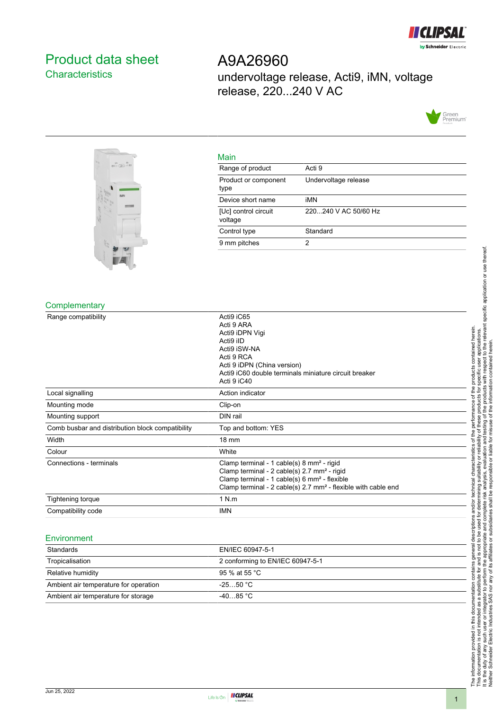

# <span id="page-0-0"></span>Product data sheet **Characteristics**

A9A26960 undervoltage release, Acti9, iMN, voltage release, 220...240 V AC





| Main                            |                      |
|---------------------------------|----------------------|
| Range of product                | Acti 9               |
| Product or component<br>type    | Undervoltage release |
| Device short name               | iMN                  |
| [Uc] control circuit<br>voltage | 220240 V AC 50/60 Hz |
| Control type                    | Standard             |
| 9 mm pitches                    | 2                    |

#### **Complementary**

| Acti9 iC65<br>Acti 9 ARA<br>Acti9 iDPN Vigi<br>Acti9 iID<br>Acti9 iSW-NA<br>Acti 9 RCA                                                                                                                                                                    |
|-----------------------------------------------------------------------------------------------------------------------------------------------------------------------------------------------------------------------------------------------------------|
| Acti 9 iDPN (China version)<br>Acti9 iC60 double terminals miniature circuit breaker<br>Acti 9 iC40                                                                                                                                                       |
| Action indicator                                                                                                                                                                                                                                          |
| Clip-on                                                                                                                                                                                                                                                   |
| DIN rail                                                                                                                                                                                                                                                  |
| Top and bottom: YES                                                                                                                                                                                                                                       |
| $18 \text{ mm}$                                                                                                                                                                                                                                           |
| White                                                                                                                                                                                                                                                     |
| Clamp terminal - 1 cable(s) 8 mm <sup>2</sup> - rigid<br>Clamp terminal - 2 cable(s) 2.7 mm <sup>2</sup> - rigid<br>Clamp terminal - 1 cable(s) 6 mm <sup>2</sup> - flexible<br>Clamp terminal - 2 cable(s) 2.7 mm <sup>2</sup> - flexible with cable end |
| 1 N.m                                                                                                                                                                                                                                                     |
| IMN                                                                                                                                                                                                                                                       |
|                                                                                                                                                                                                                                                           |

#### Environment

| Standards                             | EN/IEC 60947-5-1                 |
|---------------------------------------|----------------------------------|
| Tropicalisation                       | 2 conforming to EN/IEC 60947-5-1 |
| Relative humidity                     | 95 % at 55 °C                    |
| Ambient air temperature for operation | $-2550 °C$                       |
| Ambient air temperature for storage   | -4085 °C                         |